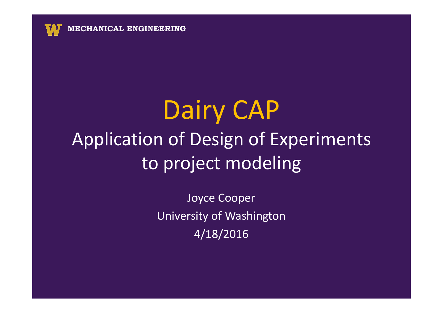

# Dairy CAP Application of Design of Experiments to project modeling

Joyce CooperUniversity of Washington4/18/2016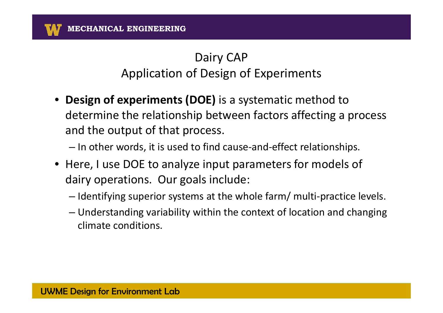- **Design of experiments (DOE)** is a systematic method to determine the relationship between factors affecting a process and the output of that process.
	- In other words, it is used to find cause-and-effect relationships.
- Here, I use DOE to analyze input parameters for models of dairy operations. Our goals include:
	- $-$  Identifying superior systems at the whole farm/ multi-practice levels.
	- Understanding variability within the context of location and changing climate conditions.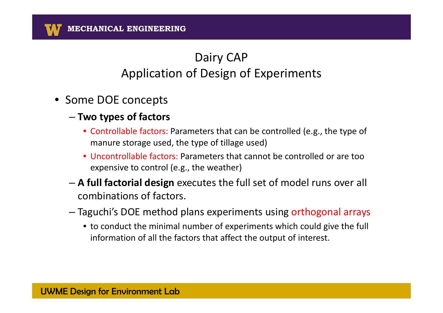- Some DOE concepts
	- **Two types of factors**
		- Controllable factors: Parameters that can be controlled (e.g., the type of manure storage used, the type of tillage used)
		- Uncontrollable factors: Parameters that cannot be controlled or are too expensive to control (e.g., the weather)
	- **A full factorial design** executes the full set of model runs over all combinations of factors.
	- Taguchi's DOE method plans experiments using orthogonal arrays
		- to conduct the minimal number of experiments which could give the full information of all the factors that affect the output of interest.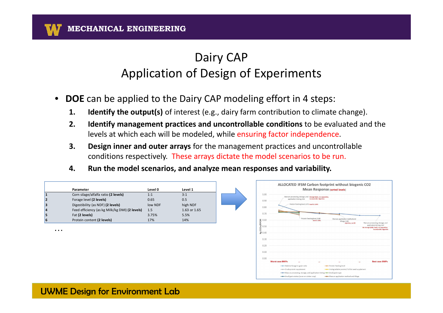- **DOE** can be applied to the Dairy CAP modeling effort in 4 steps:
	- **1. Identify the output(s)** of interest (e.g., dairy farm contribution to climate change).
	- **2. Identify management practices and uncontrollable conditions** to be evaluated and the levels at which each will be modeled, while ensuring factor independence.
	- conditions respectively. These arrays dictate the model scenarios to be run. **3. Design inner and outer arrays** for the management practices and uncontrollable
	- **4. Run the model scenarios, and analyze mean responses and variability.**

|   |                                                |         |              | ALLOCATED IFSM Carbon footprint without biogenic CO2                                                                                                            |
|---|------------------------------------------------|---------|--------------|-----------------------------------------------------------------------------------------------------------------------------------------------------------------|
|   | Parameter                                      | Level 0 | Level 1      | <b>Mean Response (sorted levels)</b>                                                                                                                            |
|   | Corn silage/alfalfa ratio (2 levels)           | 1:1     | 3:1          | 1.00<br>Manure processing, storage, and storage basin, no separation,                                                                                           |
|   | Forage level (2 levels)                        | 0.65    | 0.5          | application timing, 0.83 no anaerobic digestion<br>0.90                                                                                                         |
|   | Digestibility (as NDF) (2 levels)              | low NDF | high NDF     | Protein feeding level, 0.76 level is 114%<br>0.80                                                                                                               |
|   | Feed efficiency (as kg Milk/kg DMI) (2 levels) | 1.5     | 1.63 or 1.65 |                                                                                                                                                                 |
|   | Fat (2 levels)                                 | 3.75%   | 5.5%         | 0.70                                                                                                                                                            |
|   | Protein content (2 levels)                     | 17%     | 14%          | - Protein feeding level, 0.68<br>Manure application method and<br>level is 50%<br>tillage, 0.68                                                                 |
|   |                                                |         |              | 0.60 0.50<br>Manure processing, storage, and<br>Injection, no-till<br>application timing, 0.67<br>No storage (daily haul), no separation                        |
| . |                                                |         |              | no anaerobic dipestion                                                                                                                                          |
|   |                                                |         |              | $\Sigma$ 0.40                                                                                                                                                   |
|   |                                                |         |              | 0.30                                                                                                                                                            |
|   |                                                |         |              | 0.20                                                                                                                                                            |
|   |                                                |         |              | 0.10                                                                                                                                                            |
|   |                                                |         |              |                                                                                                                                                                 |
|   |                                                |         |              | 0.00<br><b>Best case BMPs</b><br><b>Worst case BMPs</b>                                                                                                         |
|   |                                                |         |              | - Relative forage to grain ratio<br>-Protein feeding level                                                                                                      |
|   |                                                |         |              | - Crude protein supplement<br>- Undegradable protein/ full fat seed supplement                                                                                  |
|   |                                                |         |              | - Manure processing, storage, and application timing - Small grain type<br>-Small grain status (cover or winter crop)<br>-Manure application method and tillage |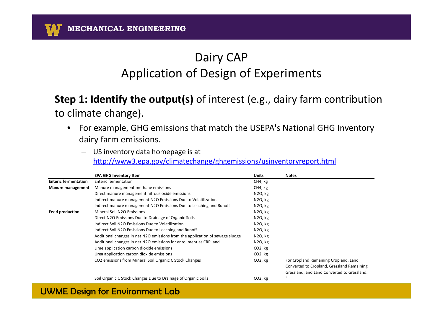#### **Step 1: Identify the output(s)** of interest (e.g., dairy farm contribution to climate change).

- For example, GHG emissions that match the USEPA's National GHG Inventory dairy farm emissions.
	- os inventory data nomepage is at<br>http://www3.epa.gov/climatechange/ghgemissions/usinventoryreport.html – US inventory data homepage is at

|                             | <b>EPA GHG Inventory Item</b>                                                 | <b>Units</b> | Notes                                       |
|-----------------------------|-------------------------------------------------------------------------------|--------------|---------------------------------------------|
| <b>Enteric fermentation</b> | Enteric fermentation                                                          | CH4, kg      |                                             |
| Manure management           | Manure management methane emissions                                           | CH4, kg      |                                             |
|                             | Direct manure management nitrous oxide emissions                              | N2O, kg      |                                             |
|                             | Indirect manure management N2O Emissions Due to Volatilization                | N2O, kg      |                                             |
|                             | Indirect manure management N2O Emissions Due to Leaching and Runoff           | N2O, kg      |                                             |
| <b>Feed production</b>      | Mineral Soil N2O Emissions                                                    | N2O, kg      |                                             |
|                             | Direct N2O Emissions Due to Drainage of Organic Soils                         | N2O, kg      |                                             |
|                             | Indirect Soil N2O Emissions Due to Volatilization                             | N2O, kg      |                                             |
|                             | Indirect Soil N2O Emissions Due to Leaching and Runoff                        | N2O, kg      |                                             |
|                             | Additional changes in net N2O emissions from the application of sewage sludge | N2O, kg      |                                             |
|                             | Additional changes in net N2O emissions for enrollment as CRP land            | N2O, kg      |                                             |
|                             | Lime application carbon dioxide emissions                                     | $CO2$ , kg   |                                             |
|                             | Urea application carbon dioxide emissions                                     | $CO2$ , kg   |                                             |
|                             | CO2 emissions from Mineral Soil Organic C Stock Changes                       | $CO2$ , kg   | For Cropland Remaining Cropland, Land       |
|                             |                                                                               |              | Converted to Cropland, Grassland Remaining  |
|                             |                                                                               |              | Grassland, and Land Converted to Grassland. |
|                             | Soil Organic C Stock Changes Due to Drainage of Organic Soils                 | $CO2$ , kg   | $\mathbf{u}$                                |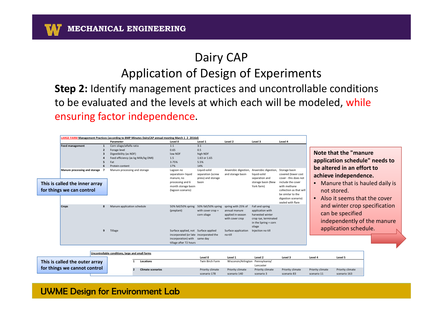#### Dairy CAP

#### Application of Design of Experiments

 **Step 2:** Identify management practices and uncontrollable conditions to be evaluated and the levels at which each will be modeled, while ensuring factor independence.

|              |                                                                                                | Parameter                                                                                                                            | Level 0                                                                                                       | Level 1                                                                    | Level 2                                                                      | Level 3                                                                                                                                | Level 4                                                                                                                                                                       |                                                                                                           |                                                                                                                                      |  |
|--------------|------------------------------------------------------------------------------------------------|--------------------------------------------------------------------------------------------------------------------------------------|---------------------------------------------------------------------------------------------------------------|----------------------------------------------------------------------------|------------------------------------------------------------------------------|----------------------------------------------------------------------------------------------------------------------------------------|-------------------------------------------------------------------------------------------------------------------------------------------------------------------------------|-----------------------------------------------------------------------------------------------------------|--------------------------------------------------------------------------------------------------------------------------------------|--|
|              | <b>Feed management</b><br>6                                                                    | Corn silage/alfalfa ratio<br>Forage level<br>Digestibility (as NDF)<br>Feed efficiency (as kg Milk/kg DMI)<br>Fat<br>Protein content | 1:1<br>0.65<br>low NDF<br>1.5<br>3.75%<br>17%                                                                 | 3:1<br>0.5<br>high NDF<br>1.63 or 1.65<br>5.5%<br>14%                      |                                                                              |                                                                                                                                        |                                                                                                                                                                               |                                                                                                           | Note that the "manure"<br>application schedule" needs to                                                                             |  |
|              | Manure processing and storage 7<br>This is called the inner array<br>for things we can control | Manure processing and storage                                                                                                        | Lagoon no<br>separation= liquid<br>manure, no<br>processing and 6<br>month storage basin<br>(lagoon scenario) | Liquid-solid<br>separation (screw<br>press) and storage<br>basin           | Anaerobic digestion, Anaerobic digestion, Storage basin<br>and storage basin | liquid-solid<br>separation and<br>storage basin (New<br>York farm)                                                                     | covered (lower cost<br>cover - this does not<br>include the cover<br>with methane<br>collection as that will<br>be similar to the<br>digestion scenario)<br>sealed with flare | $\bullet$<br>$\bullet$                                                                                    | be altered in an effort to<br>achieve independence.<br>Manure that is hauled daily is<br>not stored.<br>Also it seems that the cover |  |
| <b>Crops</b> | 8<br>9                                                                                         | Manure application schedule<br>Tillage                                                                                               | 50% fall/50% spring<br>(preplant)<br>Surface applied, not Surface applied                                     | 50% fall/50% spring spring with 25% of<br>with cover crop +<br>corn silage | annual manure<br>applied in-season<br>with cover crop<br>Surface application | Fall and spring<br>application with<br>harvested winter<br>crop rye, terminated<br>in the Spring + corn<br>silage<br>Injection no till |                                                                                                                                                                               | and winter crop specification<br>can be specified<br>independently of the manure<br>application schedule. |                                                                                                                                      |  |
|              |                                                                                                | Uncontrollable conditions, large and small farms                                                                                     | incorporated (or late incorporated the<br>incorporation) with same day<br>tillage after 72 hours              |                                                                            | no-till                                                                      |                                                                                                                                        |                                                                                                                                                                               |                                                                                                           |                                                                                                                                      |  |
|              |                                                                                                |                                                                                                                                      |                                                                                                               | Level 0                                                                    | Level 1                                                                      | Level 2                                                                                                                                | Level 3                                                                                                                                                                       | Level 4                                                                                                   | Level 5                                                                                                                              |  |
|              | This is called the outer array                                                                 | Locations                                                                                                                            |                                                                                                               | Twin Birch Farm                                                            | Wisconsin/Arlington Pennsylvania/                                            | Lancaster                                                                                                                              |                                                                                                                                                                               |                                                                                                           |                                                                                                                                      |  |
|              | for things we cannot control                                                                   | <b>Climate scenarios</b>                                                                                                             |                                                                                                               | Priority climate                                                           | Priority climate                                                             | Priority climate                                                                                                                       | Priority climate                                                                                                                                                              | Priority climate                                                                                          | Priority climate                                                                                                                     |  |

scenario 178

scenario 140

scenario 3

scenario 83

scenario 11

scenario 163

#### UWME Design for Environment Lab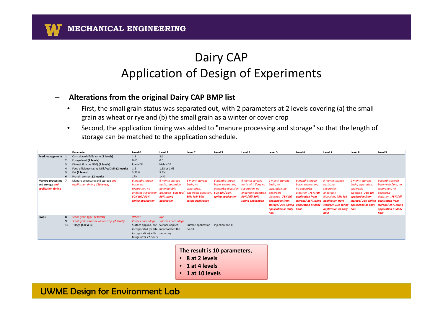**MECHANICAL ENGINEERING**

#### Dairy CAPApplication of Design of Experiments

#### –**Alterations from the original Dairy CAP BMP list**

- $\bullet$  First, the small grain status was separated out, with 2 parameters at 2 levels covering (a) the small grain as wheat or rye and (b) the small grain as a winter or cover crop
- $\bullet$  Second, the application timing was added to "manure processing and storage" so that the length of storage can be matched to the application schedule.

|                                                           | Parameter                                                                                                                                                                                                                                                                     | Level 0                                                                                                                                                                  | Level 1                                                                                        | Level 2                                                                    | Level 3                                                     | Level 4                                                                                 | Level 5                                                                                        | Level 6                                                                                                                  | Level 7                                                                                                                                             | Level 8                                                                                     | Level 9                                                                                                  |
|-----------------------------------------------------------|-------------------------------------------------------------------------------------------------------------------------------------------------------------------------------------------------------------------------------------------------------------------------------|--------------------------------------------------------------------------------------------------------------------------------------------------------------------------|------------------------------------------------------------------------------------------------|----------------------------------------------------------------------------|-------------------------------------------------------------|-----------------------------------------------------------------------------------------|------------------------------------------------------------------------------------------------|--------------------------------------------------------------------------------------------------------------------------|-----------------------------------------------------------------------------------------------------------------------------------------------------|---------------------------------------------------------------------------------------------|----------------------------------------------------------------------------------------------------------|
| Feed management 1<br>Manure processing<br>and storage and | Corn silage/alfalfa ratio (2 levels)<br>Forage level (2 levels)<br>Digestibility (as NDF) (2 levels)<br>Feed efficiency (as kg Milk/kg DMI) (2 levels)<br>Fat (2 levels)<br>Protein content (2 levels)<br>Manure processing and storage and<br>application timing (10 levels) | 1:1<br>0.65<br>low NDF<br>1.5<br>3.75%<br>17%<br>6 month storage<br>basin, no                                                                                            | 3:1<br>0.5<br>high NDF<br>1.63 or 1.65<br>5.5%<br>14%<br>6 month storage<br>basin, separation, | 6 month storage<br>basin, no                                               | 6 month storage<br>basin, separation,                       | 6 month covered<br>basin with flare, no                                                 | 9 month storage<br>basin, no                                                                   | 9 month storage<br>basin, separation,                                                                                    | 9 month storage<br>basin, no                                                                                                                        | 9 month storage<br>basin, separation,                                                       | 9 month covered<br>basin with flare, no                                                                  |
| application timing                                        |                                                                                                                                                                                                                                                                               | separation, no<br>anaerobic digestion,<br>50% fall/ 50%<br>spring application                                                                                            | no anaerobic<br>digestion, 50% fall/<br>50% spring<br>application                              | separation,<br>anaerobic digestion,<br>50% fall/ 50%<br>spring application | anaerobic digestion,<br>50% fall/ 50%<br>spring application | separation, no<br>anaerobic digestion, anaerobic<br>50% fall/ 50%<br>spring application | separation, no<br>digestion, 75% fall<br>application from<br>application as daily haul<br>haul | no anaerobic<br>digestion, 75% fall<br>application from<br>storage/25% spring<br>storage/25% spring application as daily | separation,<br>anaerobic<br>digestion, 75% fall<br>application from<br>storage/25% spring application as daily<br>application as daily haul<br>haul | anaerobic<br>digestion, 75% fall<br>application from<br>storage/25% spring application from | separation, no<br>anaerobic<br>digestion, 75% fall<br>storage/25% spring<br>application as daily<br>haul |
| <b>Crops</b>                                              | Small grain type (2 levels)<br>Small grain cover or winter crop (2 levels)<br>10 Tillage (4 levels)                                                                                                                                                                           | Wheat<br>Cover + corn silage<br>Surface applied, not Surface applied<br>incorporated (or late incorporated the<br>incorporation) with same day<br>tillage after 72 hours | Rye<br>Winter + corn silage                                                                    | Surface application Injection no till<br>no-till                           |                                                             |                                                                                         |                                                                                                |                                                                                                                          |                                                                                                                                                     |                                                                                             |                                                                                                          |

**The result is 10 parameters,** 

- **8 at 2 levels**
- **1 at 4 levels**
- **1 at 10 levels**

#### UWME Design for Environment Lab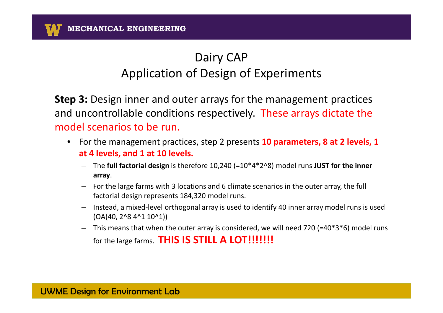**Step 3:** Design inner and outer arrays for the management practices and uncontrollable conditions respectively. These arrays dictate the model scenarios to be run.

- Solid Fuels Processing Technologies**at 4 levels, and 1 at 10 levels.** $\bullet$  For the management practices, step 2 presents **10 parameters, 8 at 2 levels, 1** 
	- – The **full factorial design** is therefore 10,240 (=10\*4\*2^8) model runs **JUST for the inner array**.
	- For the large farms with 3 locations and 6 climate scenarios in the outer array, the full factorial design represents 184,320 model runs.
	- – Instead, a mixed-level orthogonal array is used to identify 40 inner array model runs is used (OA(40, 2^8 4^1 10^1))
	- This means that when the outer array is considered, we will need 720 (=40\*3\*6) model runs for the large farms. THIS IS STILL A LOT!!!!!!!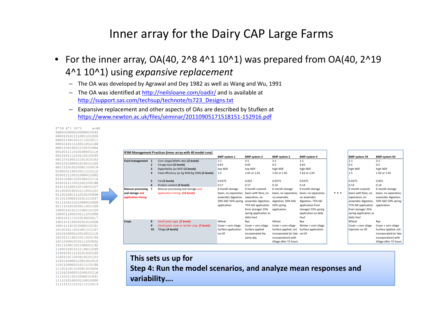#### Inner array for the Dairy CAP Large Farms

- $\bullet~$  For the inner array, OA(40, 2^8 4^1 10^1) was prepared from OA(40, 2^19 4^1 10^1) using *expansive replacement*
	- The OA was developed by Agrawal and Dey 1982 as well as Wang and Wu, 1991
	- The OA was identified at http://neilsloane.com/oadir/ and is available at http://support.sas.com/techsup/technote/ts723\_Designs.txt
	- Expansive replacement and other aspects of OAs are described by Stufken at https://www.newton.ac.uk/files/seminar/20110905171518151-152916.pdf

|                                       |    | IFSM Management Practices (inner array with 40 model runs) |                                                                                   |                                                 |                                                                                                                            |                                                              |   |                                                                |                                                                                                |
|---------------------------------------|----|------------------------------------------------------------|-----------------------------------------------------------------------------------|-------------------------------------------------|----------------------------------------------------------------------------------------------------------------------------|--------------------------------------------------------------|---|----------------------------------------------------------------|------------------------------------------------------------------------------------------------|
|                                       |    |                                                            | <b>BMP</b> system 1                                                               | <b>BMP</b> system 2                             | <b>BMP</b> system 3                                                                                                        | <b>BMP</b> system 4                                          |   | <b>BMP</b> system 39                                           | <b>BMP system 40</b>                                                                           |
| Feed management 1                     |    | Corn silage/alfalfa ratio (2 levels)                       | 1:1                                                                               | 3:1                                             | 3:1                                                                                                                        | 1:1                                                          |   | 1:1                                                            | 3:1                                                                                            |
|                                       |    | Forage level (2 levels)                                    | 0.65                                                                              | 0.65                                            | 0.5                                                                                                                        | 0.65                                                         |   | 0.5                                                            | 0.5                                                                                            |
|                                       | 3  | Digestibility (as NDF) (2 levels)                          | low NDF                                                                           | low NDF                                         | high NDF                                                                                                                   | high NDF                                                     |   | high NDF                                                       | high NDF                                                                                       |
|                                       |    | Feed efficiency (as kg Milk/kg DMI) (2 levels)             | 1.5                                                                               | 1.63 or 1.65                                    | 1.63 or 1.65                                                                                                               | 1.63 or 1.65                                                 |   | 1.5                                                            | 1.63 or 1.65                                                                                   |
|                                       | 5  | Fat (2 levels)                                             | 0.0375                                                                            | 0.055                                           | 0.0375                                                                                                                     | 0.0375                                                       |   | 0.0375                                                         | 0.055                                                                                          |
|                                       | 6  | Protein content (2 levels)                                 | 0.17                                                                              | 0.17                                            | 0.14                                                                                                                       | 0.14                                                         |   | 0.14                                                           | 0.14                                                                                           |
| Manure processing 7                   |    | Manure processing and storage and                          | 6 month storage                                                                   | 9 month covered                                 | 6 month storage                                                                                                            | 9 month storage                                              |   | 9 month covered                                                | 6 month storage                                                                                |
| and storage and<br>application timing |    | application timing (10 levels)                             | basin, no separation, basin with flare, no<br>anaerobic digestion, separation, no | 50% fall/ 50% spring anaerobic digestion,       | basin, no separation,<br>no anaerobic<br>digestion, 50% fall/                                                              | basin, no separation,<br>no anaerobic<br>digestion, 75% fall | . | basin with flare, no<br>separation, no<br>anaerobic digestion, | basin, no separation,<br>anaerobic digestion,<br>50% fall/ 50% spring                          |
|                                       |    |                                                            | application                                                                       | 75% fall application<br>from storage/ 25%       | 50% spring<br>application                                                                                                  | application from<br>storage/ 25% spring                      |   | 75% fall application<br>from storage/ 25%                      | application                                                                                    |
|                                       |    |                                                            |                                                                                   | spring application as<br>daily haul             |                                                                                                                            | application as daily<br>haul                                 |   | spring application as<br>daily haul                            |                                                                                                |
| <b>Crops</b>                          | 8  | Small grain type (2 levels)                                | Wheat                                                                             | Rye                                             | Wheat                                                                                                                      | Rye                                                          |   | Wheat                                                          | Rye                                                                                            |
|                                       | 9  | Small grain cover or winter crop (2 levels)                | Cover + corn silage                                                               | Cover + corn silage                             | Cover + corn silage                                                                                                        | Winter + corn silage                                         |   | Cover + corn silage                                            | Cover + corn silage                                                                            |
|                                       | 10 | Tillage (4 levels)                                         | Surface application<br>no-till                                                    | Surface applied<br>incorporated the<br>same day | Surface applied, not Surface application<br>incorporated (or late no-till<br>incorporation) with<br>tillage after 72 hours |                                                              |   | Injection no till                                              | Surface applied, not<br>incorporated (or late<br>incorporation) with<br>tillage after 72 hours |

**This sets us up forStep 4: Run the model scenarios, and analyze mean responses and variability….**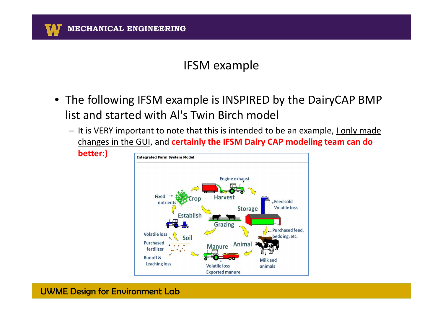- The following IFSM example is INSPIRED by the DairyCAP BMP list and started with Al's Twin Birch model
	- It is VERY important to note that this is intended to be an example, <u>I only made</u> changes in the GUI, and **certainly the IFSM Dairy CAP modeling team can do**



UWME Design for Environment Lab

**better:)**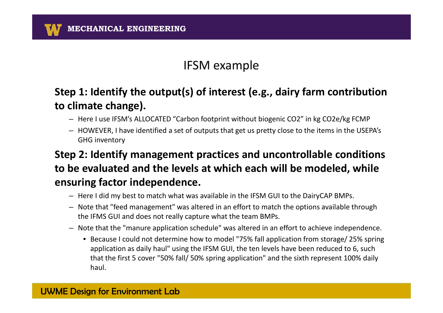#### **Step 1: Identify the output(s) of interest (e.g., dairy farm contribution to climate change).**

- Here I use IFSM's ALLOCATED "Carbon footprint without biogenic CO2" in kg CO2e/kg FCMP
- HOWEVER, I have identified a set of outputs that get us pretty close to the items in the USEPA's GHG inventory

**Step 2: Identify management practices and uncontrollable conditions to be evaluated and the levels at which each will be modeled, while ensuring factor independence.**

- Here I did my best to match what was available in the IFSM GUI to the DairyCAP BMPs.
- Note that "feed management" was altered in an effort to match the options available through the IFMS GUI and does not really capture what the team BMPs.
- Note that the "manure application schedule" was altered in an effort to achieve independence.
	- Because I could not determine how to model "75% fall application from storage/ 25% spring application as daily haul" using the IFSM GUI, the ten levels have been reduced to 6, such that the first 5 cover "50% fall/ 50% spring application" and the sixth represent 100% daily haul.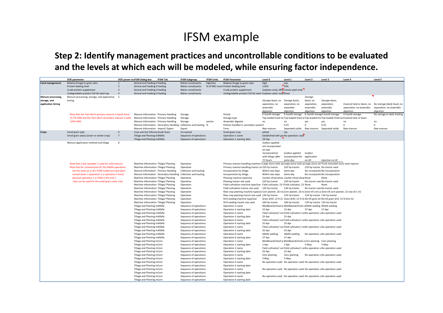**Step 2: Identify management practices and uncontrollable conditions to be evaluated and the levels at which each will be modeled, while ensuring factor independence.**

|                        | DOE parameter                                            |                | DOE param no IFSM Dialog box      | <b>IFSM Tab</b>                                                                | <b>IFSM Subgroup</b>                                           | <b>IFSM Units</b> | <b>IFSM Parameter</b>                                                                                                               | Level 0                          | Level 1                                                              | Level 2     | Level 3                                                                                                                              | Level 4                                                                                            | Level 5                     |
|------------------------|----------------------------------------------------------|----------------|-----------------------------------|--------------------------------------------------------------------------------|----------------------------------------------------------------|-------------------|-------------------------------------------------------------------------------------------------------------------------------------|----------------------------------|----------------------------------------------------------------------|-------------|--------------------------------------------------------------------------------------------------------------------------------------|----------------------------------------------------------------------------------------------------|-----------------------------|
| <b>Feed management</b> | Relative forage to grain ratio                           | $\mathbf{1}$   | Animal and Feeding Ir Feeding     |                                                                                | Ration constituents                                            | high/low          | Relative forage to grain ratio                                                                                                      | high                             | low                                                                  |             |                                                                                                                                      |                                                                                                    |                             |
|                        | Protein feeding level                                    | $\overline{2}$ | Animal and Feeding Ir Feeding     |                                                                                | Ration constituents                                            |                   | % of NRC recon Protein feeding level                                                                                                | 114%                             | 50%                                                                  |             |                                                                                                                                      |                                                                                                    |                             |
|                        | Crude protein supplement                                 | $\overline{3}$ | Animal and Feeding Ir Feeding     |                                                                                | Ration constituents                                            |                   | Crude protein supplement                                                                                                            |                                  | Soybean meal, 48% Canola seed meal                                   |             |                                                                                                                                      |                                                                                                    |                             |
|                        | Undegradable protein/ full fat seed sup.                 | $\overline{a}$ | Animal and Feeding Ir Feeding     |                                                                                | Ration constituents                                            |                   | Undegradable protein/ full fat seed : Soybean seed, roast None                                                                      |                                  |                                                                      |             |                                                                                                                                      |                                                                                                    |                             |
| Manure processing,     | Manure processing, storage, and application 5            |                |                                   |                                                                                |                                                                |                   |                                                                                                                                     |                                  |                                                                      | Storage     |                                                                                                                                      |                                                                                                    |                             |
| storage, and           | timing                                                   |                |                                   |                                                                                |                                                                |                   |                                                                                                                                     | Storage basin, no Storage basin, |                                                                      | basin, no   | Storage basin,                                                                                                                       |                                                                                                    |                             |
| application timing     |                                                          |                |                                   |                                                                                |                                                                |                   |                                                                                                                                     | separation, no                   | separation, no                                                       | separation, | separation,                                                                                                                          | Covered tank or basin, no                                                                          | No storage (daily haul), no |
|                        |                                                          |                |                                   |                                                                                |                                                                |                   |                                                                                                                                     | anaerobic                        | anaerobic                                                            | anaerobic   | anaerobic                                                                                                                            | separation, no anaerobic                                                                           | separation, no anaerobic    |
|                        |                                                          |                |                                   |                                                                                |                                                                |                   |                                                                                                                                     | digestion                        | digestion                                                            | digestion   | digestion                                                                                                                            | digestion                                                                                          | digestion                   |
|                        | Note that the Twin Birch primary manure is liquid-slurry |                |                                   | Manure Information Primary Handling                                            | Storage                                                        |                   | Period                                                                                                                              | 6 month storage                  | 6 month storage                                                      |             | 6 month storag6 month storage                                                                                                        | 6 month storage                                                                                    | No storage or daily hauling |
|                        | (5-7% DM) and the Twin Birch secondary manure is solid   |                |                                   | Manure Information Primary Handling                                            | Storage                                                        |                   | Storage type                                                                                                                        |                                  |                                                                      |             |                                                                                                                                      | Top-loaded lined ea Top-loaded lined et Top-loaded line Top-loaded lined ear Covered tank or basin |                             |
|                        | (20% DM)                                                 |                |                                   | Manure Information Primary Handling                                            | Storage                                                        | yes/no            | Anaerobic digester                                                                                                                  | no                               | no                                                                   | yes         | yes                                                                                                                                  | no                                                                                                 | no                          |
|                        |                                                          |                |                                   |                                                                                | Manure Information Secondary Handling Collection and hauling % |                   | Portion handled in secondary systen0                                                                                                |                                  | 0.25                                                                 | $\Omega$    | 0.25                                                                                                                                 | $\Omega$                                                                                           | $\Omega$                    |
|                        |                                                          |                | Manure Information Import/Export  |                                                                                | Export                                                         |                   | Form                                                                                                                                | Raw manure                       | Separated solids                                                     | Raw manure  | Separated solids                                                                                                                     | Raw manure                                                                                         | Raw manure                  |
| Crops                  | Small grain type                                         | 6              | Crop and Soil Informa Small Grain |                                                                                | Un-named                                                       |                   | Small grain crop                                                                                                                    | wheat                            | rye                                                                  |             |                                                                                                                                      |                                                                                                    |                             |
|                        | Small grain status (cover or winter crop)                | $\overline{7}$ | Tillage and Planting Ir Alfalfa   |                                                                                | Sequence of operations                                         |                   | Operation 1 name                                                                                                                    |                                  | Established with graNo operation used                                |             |                                                                                                                                      |                                                                                                    |                             |
|                        |                                                          |                | Tillage and Planting Ir Alfalfa   |                                                                                | Sequence of operations                                         |                   | Operation 1 starting date                                                                                                           | 19-Sep                           |                                                                      |             |                                                                                                                                      |                                                                                                    |                             |
|                        | Manure application method and tillage                    | 8              |                                   |                                                                                |                                                                |                   |                                                                                                                                     | Surface applied,                 |                                                                      |             |                                                                                                                                      |                                                                                                    |                             |
|                        |                                                          |                |                                   |                                                                                |                                                                |                   |                                                                                                                                     | not incorporated                 |                                                                      |             |                                                                                                                                      |                                                                                                    |                             |
|                        |                                                          |                |                                   |                                                                                |                                                                |                   |                                                                                                                                     | (or late                         |                                                                      |             |                                                                                                                                      |                                                                                                    |                             |
|                        |                                                          |                |                                   |                                                                                |                                                                |                   |                                                                                                                                     | incorporation)                   | Surface applied                                                      | Surface     |                                                                                                                                      |                                                                                                    |                             |
|                        |                                                          |                |                                   |                                                                                |                                                                |                   |                                                                                                                                     | with tillage after               | incorporated the                                                     | application |                                                                                                                                      |                                                                                                    |                             |
|                        |                                                          |                |                                   |                                                                                |                                                                |                   |                                                                                                                                     | 72 hours                         | same day                                                             | no-till     | Injection no till                                                                                                                    |                                                                                                    |                             |
|                        | Note that a box spreader is used for solid manure.       |                |                                   | Machine Information Tillage/ Planting                                          | Operation                                                      |                   | Primary manure handling machine t Large slurry tank spi Large slurry tank sr Large slurry tanTruck mounted slurry tank injector     |                                  |                                                                      |             |                                                                                                                                      |                                                                                                    |                             |
|                        | Note that for conventional till, the Alfalfa operations  |                |                                   | Machine Information Tillage/ Planting                                          | Operation                                                      |                   | Primary manure handling tractor siz 220 hp tractor                                                                                  |                                  | 220 hp tractor                                                       |             | 220 hp tractor No tractor used                                                                                                       |                                                                                                    |                             |
|                        | are the same as in Al's IFSM model but have been         |                |                                   | Manure Information Primary Handling                                            | Collection and hauling                                         |                   | Incorporation by tillage                                                                                                            | Within two days                  | Same day                                                             |             | No incorporaticNo incorporation                                                                                                      |                                                                                                    |                             |
|                        | moved down 1 (operation 1 is operation 2 here)           |                |                                   |                                                                                | Manure Information Secondary Handling Collection and hauling   |                   | Incorporation by tillage                                                                                                            | Within two days                  | Same day                                                             |             | No incorporaticNo incorporation                                                                                                      |                                                                                                    |                             |
|                        | because operation 1 in IFSM is the only 1                |                |                                   | Machine Information Tillage/ Planting                                          | Operation                                                      |                   | Plowing machine type/size                                                                                                           |                                  | Coulter-chisel plow, Coulter-chisel plow None                        |             | None                                                                                                                                 |                                                                                                    |                             |
|                        | that can be used for the small grain cover crop          |                |                                   | Machine Information Tillage/ Planting                                          | Operation                                                      |                   | Plowing tractor size used                                                                                                           | 220 hp tractor                   | 220 hp tractor                                                       |             | No tractor usedNo tractor used                                                                                                       |                                                                                                    |                             |
|                        |                                                          |                |                                   | Machine Information Tillage/ Planting                                          | Operation                                                      |                   | Field cultivation machine type/size Field cultivator, 23 fField cultivator, 23 None                                                 |                                  |                                                                      |             | None                                                                                                                                 |                                                                                                    |                             |
|                        |                                                          |                |                                   | Machine Information Tillage/ Planting                                          | Operation                                                      |                   | Field cultivation tractor size used                                                                                                 | 134 hp tractor                   | 134 hp tractor                                                       |             | No tractor usedNo tractor used                                                                                                       |                                                                                                    |                             |
|                        |                                                          |                |                                   | Machine Information Tillage/ Planting                                          | Operation                                                      |                   | Row crop planting machine type/siz Corn planter, 16-rov Corn planter, 16-ro Zone till corn plZone till corn planter, 12-row (9.1 m) |                                  |                                                                      |             |                                                                                                                                      |                                                                                                    |                             |
|                        |                                                          |                |                                   | Machine Information Tillage/ Planting<br>Machine Information Tillage/ Planting | Operation<br>Operation                                         |                   | Row crop planting tractor size used 134 hp tractor                                                                                  |                                  | 134 hp tractor                                                       |             | 134 hp tractor 134 hp tractor                                                                                                        |                                                                                                    |                             |
|                        |                                                          |                |                                   | Machine Information Tillage/ Planting                                          | Operation                                                      |                   | Drill seeding machine type/size<br>Drill seeding tractor size used                                                                  | 100 hp tractor                   | 100 hp tractor                                                       |             | Grain drilll, 12 ft (3. Grain drilll, 12 ft (3 No-till grain dri No-till grain drill, 15 ft (4.6 m)<br>134 hp tractor 134 hp tractor |                                                                                                    |                             |
|                        |                                                          |                | Tillage and Planting Ir Alfalfa   |                                                                                | Sequence of operations                                         |                   | Operation 2 name                                                                                                                    |                                  | Moldboard/chisel plMoldboard/chisel pAlfalfa seeding Alfalfa seeding |             |                                                                                                                                      |                                                                                                    |                             |
|                        |                                                          |                | Tillage and Planting Ir Alfalfa   |                                                                                | Sequence of operations                                         |                   | Operation 2 starting date                                                                                                           | 15-Apr                           | 15-Apr                                                               | 27-Apr      | 27-Apr                                                                                                                               |                                                                                                    |                             |
|                        |                                                          |                | Tillage and Planting Ir Alfalfa   |                                                                                | Sequence of operations                                         |                   | Operation 3 name                                                                                                                    |                                  |                                                                      |             | Field cultivator/ conField cultivator/ co No operation u No operation used                                                           |                                                                                                    |                             |
|                        |                                                          |                | Tillage and Planting Ir Alfalfa   |                                                                                | Sequence of operations                                         |                   | Operation 3 starting date                                                                                                           | 25-Apr                           | 25-Apr                                                               |             |                                                                                                                                      |                                                                                                    |                             |
|                        |                                                          |                | Tillage and Planting Ir Alfalfa   |                                                                                | Sequence of operations                                         |                   | Operation 4 name                                                                                                                    |                                  |                                                                      |             | Field cultivator/ conField cultivator/ co No operation u No operation used                                                           |                                                                                                    |                             |
|                        |                                                          |                | Tillage and Planting Ir Alfalfa   |                                                                                | Sequence of operations                                         |                   | Operation 4 starting date                                                                                                           | 25-Apr                           | 25-Apr                                                               |             |                                                                                                                                      |                                                                                                    |                             |
|                        |                                                          |                | Tillage and Planting Ir Alfalfa   |                                                                                | Sequence of operations                                         |                   | Operation 5 name                                                                                                                    |                                  |                                                                      |             | Field cultivator/ conField cultivator/ co No operation u No operation used                                                           |                                                                                                    |                             |
|                        |                                                          |                | Tillage and Planting Ir Alfalfa   |                                                                                | Sequence of operations                                         |                   | Operation 5 starting date                                                                                                           | 25-Apr                           | 25-Apr                                                               |             |                                                                                                                                      |                                                                                                    |                             |
|                        |                                                          |                | Tillage and Planting Ir Alfalfa   |                                                                                | Sequence of operations                                         |                   | Operation 6 name                                                                                                                    | Alfalfa seeding                  | Alfalfa seeding                                                      |             | No operation u No operation used                                                                                                     |                                                                                                    |                             |
|                        |                                                          |                | Tillage and Planting Ir Alfalfa   |                                                                                | Sequence of operations                                         |                   | Operation 6 starting date                                                                                                           | 27-Apr                           | 27-Apr                                                               |             |                                                                                                                                      |                                                                                                    |                             |
|                        |                                                          |                | Tillage and Planting Ir Corn      |                                                                                | Sequence of operations                                         |                   | Operation 1 name                                                                                                                    |                                  | Moldboard/chisel plMoldboard/chisel pCorn planting Corn planting     |             |                                                                                                                                      |                                                                                                    |                             |
|                        |                                                          |                | Tillage and Planting Ir Corn      |                                                                                | Sequence of operations                                         |                   | Operation 1 starting date                                                                                                           | 1-Apr                            | 1-Apr                                                                | 5-May       | 5-May                                                                                                                                |                                                                                                    |                             |
|                        |                                                          |                | Tillage and Planting Ir Corn      |                                                                                | Sequence of operations                                         |                   | Operation 2 name                                                                                                                    |                                  |                                                                      |             | Field cultivator/ conField cultivator/ co No operation u No operation used                                                           |                                                                                                    |                             |
|                        |                                                          |                | Tillage and Planting Ir Corn      |                                                                                | Sequence of operations                                         |                   | Operation 2 starting date                                                                                                           | 25-Apr                           | 25-Apr                                                               |             |                                                                                                                                      |                                                                                                    |                             |
|                        |                                                          |                | Tillage and Planting Ir Corn      |                                                                                | Sequence of operations                                         |                   | Operation 3 name                                                                                                                    | Corn planting                    | Corn planting                                                        |             | No operation u No operation used                                                                                                     |                                                                                                    |                             |
|                        |                                                          |                | Tillage and Planting Ir Corn      |                                                                                | Sequence of operations                                         |                   | Operation 3 starting date                                                                                                           | 5-May                            | 5-May                                                                |             |                                                                                                                                      |                                                                                                    |                             |
|                        |                                                          |                | Tillage and Planting Ir Corn      |                                                                                | Sequence of operations                                         |                   | Operation 4 name                                                                                                                    |                                  |                                                                      |             | No operation used No operation used No operation u No operation used                                                                 |                                                                                                    |                             |
|                        |                                                          |                | Tillage and Planting Ir Corn      |                                                                                | Sequence of operations                                         |                   | Operation 4 starting date                                                                                                           |                                  |                                                                      |             |                                                                                                                                      |                                                                                                    |                             |
|                        |                                                          |                | Tillage and Planting Ir Corn      |                                                                                | Sequence of operations                                         |                   | Operation 5 name                                                                                                                    |                                  |                                                                      |             | No operation used No operation used No operation u No operation used                                                                 |                                                                                                    |                             |
|                        |                                                          |                | Tillage and Planting Ir Corn      |                                                                                | Sequence of operations                                         |                   | Operation 5 starting date                                                                                                           |                                  |                                                                      |             |                                                                                                                                      |                                                                                                    |                             |
|                        |                                                          |                | Tillage and Planting Ir Corn      |                                                                                | Sequence of operations                                         |                   | Operation 6 name                                                                                                                    |                                  |                                                                      |             | No operation used No operation used No operation u No operation used                                                                 |                                                                                                    |                             |
|                        |                                                          |                | Tillage and Planting Ir Corn      |                                                                                | Sequence of operations                                         |                   | Operation 6 starting date                                                                                                           |                                  |                                                                      |             |                                                                                                                                      |                                                                                                    |                             |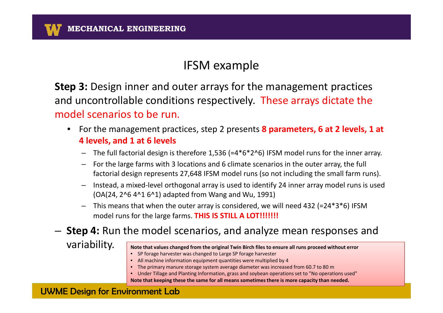**Step 3:** Design inner and outer arrays for the management practices and uncontrollable conditions respectively. These arrays dictate the model scenarios to be run.

- For the management practices, step 2 presents **8 parameters, 6 at 2 levels, 1 at 4 levels, and 1 at 6 levels**
	- $-$  The full factorial design is therefore 1,536 (=4\*6\*2^6) IFSM model runs for the inner array. –
	- For the large farms with 3 locations and 6 climate scenarios in the outer array, the full –factorial design represents 27,648 IFSM model runs (so not including the small farm runs).
	- – Instead, a mixed-level orthogonal array is used to identify 24 inner array model runs is used (OA(24, 2^6 4^1 6^1) adapted from Wang and Wu, 1991)
	- – This means that when the outer array is considered, we will need 432 (=24\*3\*6) IFSM model runs for the large farms. **THIS IS STILL A LOT!!!!!!!**

# **Step 4:** Run the model scenarios, and analyze mean responses and

variability.

|  | Note that values changed from the original Twin Birch files to ensure all runs proceed without error |
|--|------------------------------------------------------------------------------------------------------|
|--|------------------------------------------------------------------------------------------------------|

- SP forage harvester was changed to Large SP forage harvester
- All machine information equipment quantities were multiplied by 4
- The primary manure storage system average diameter was increased from 60.7 to 80 m
- Under Tillage and Planting Information, grass and soybean operations set to "No operations used"

**Note that keeping these the same for all means sometimes there is more capacity than needed.**

#### UWME Design for Environment Lab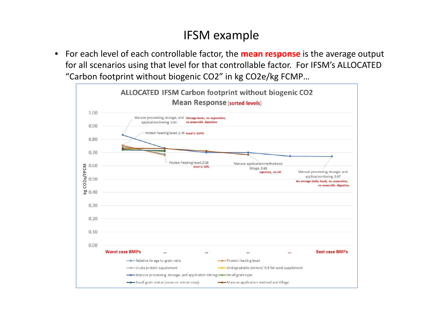$\bullet$  For each level of each controllable factor, the **mean response** is the average output for all scenarios using that level for that controllable factor. For IFSM's ALLOCATED "Carbon footprint without biogenic CO2" in kg CO2e/kg FCMP…